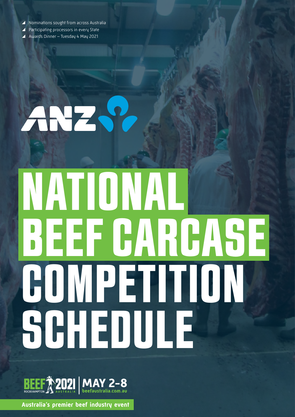A Nominations sought from across Australia

ANZ S?

- ▲ Participating processors in every State
- \ Awards Dinner Tuesday 4 May 2021

# NATIONAL BEEF CARCASE COMPETITION SCHEDULE



**Australia's premier beef industry event**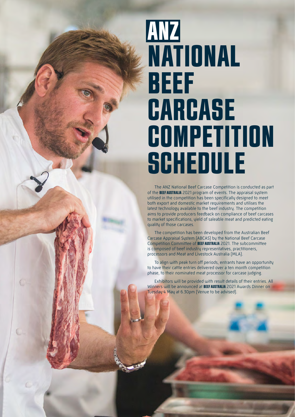## ANZ NATIONAL BEEF **CARCASE** COMPETITION **SCHEDULE**

The ANZ National Beef Carcase Competition is conducted as part of the BEEF AUSTRALIA 2021 program of events. The appraisal system utilised in the competition has been specifically designed to meet both export and domestic market requirements and utilises the latest technology available to the beef industry. The competition aims to provide producers feedback on compliance of beef carcases to market specifications, yield of saleable meat and predicted eating quality of those carcases.

The competition has been developed from the Australian Beef Carcase Appraisal System (ABCAS) by the National Beef Carcase Competition Committee of BEEF AUSTRALIA 2021. The subcommittee is composed of beef industry representatives, practitioners, processors and Meat and Livestock Australia (MLA).

To align with peak turn off periods, entrants have an opportunity to have their cattle entries delivered over a ten month competition phase, to their nominated meat processor for carcase judging.

Exhibitors will be provided with result details of their entries. All Winners will be announced at BEEF AUSTRALIA 2021 Awards Dinner on Tuesday 4 May at 6.30pm (Venue to be advised).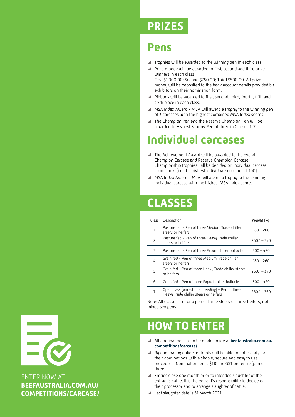## **PRIZES**

## **Pens**

- $\blacktriangle$  Trophies will be awarded to the winning pen in each class.
- ▲ Prize money will be awarded to first, second and third prize winners in each class First \$1,000.00; Second \$750.00; Third \$500.00. All prize money will be deposited to the bank account details provided by exhibitors on their nomination form.
- ▲ Ribbons will be awarded to first, second, third, fourth, fifth and sixth place in each class.
- $\blacktriangle$  MSA Index Award MLA will award a trophy to the winning pen of 3 carcases with the highest combined MSA Index scores.
- \ The Champion Pen and the Reserve Champion Pen will be awarded to Highest Scoring Pen of three in Classes 1-7.

## **Individual carcases**

- ▲ The Achievement Award will be awarded to the overall Champion Carcase and Reserve Champion Carcase. Championship trophies will be decided on individual carcase scores only (i.e. the highest individual score out of 100).
- $\blacktriangle$  MSA Index Award MLA will award a trophy to the winning individual carcase with the highest MSA Index score.

## **CLASSES**

| Class          | Description                                                                               | Weight [kg]   |
|----------------|-------------------------------------------------------------------------------------------|---------------|
| 1              | Pasture fed - Pen of three Medium Trade chiller<br>steers or heifers                      | $180 - 260$   |
| $\overline{c}$ | Pasture fed - Pen of three Heavy Trade chiller<br>steers or heifers                       | $260.1 - 340$ |
| 3              | Pasture fed - Pen of three Export chiller bullocks                                        | $300 - 420$   |
| 4              | Grain fed - Pen of three Medium Trade chiller<br>steers or heifers                        | $180 - 260$   |
| 5              | Grain fed - Pen of three Heavy Trade chiller steers<br>or heifers                         | $260.1 - 340$ |
| 6              | Grain fed - Pen of three Export chiller bullocks                                          | $300 - 420$   |
| $\overline{7}$ | Open class (unrestricted feeding) – Pen of three<br>Heavy Trade chiller steers or heifers | $260.1 - 360$ |

Note: All classes are for a pen of three steers or three heifers, not mixed sex pens.

## **HOW TO ENTER**

- \ All nominations are to be made online at **[beefaustralia.com.au/](http://beefaustralia.com.au/competitions/carcase/) [competitions/carcase/](http://beefaustralia.com.au/competitions/carcase/)**
- $\blacktriangle$  By nominating online, entrants will be able to enter and pay their nominations with a simple, secure and easy to use procedure. Nomination fee is \$110 inc GST per entry (pen of three).
- \ Entries close one month prior to intended slaughter of the entrant's cattle. It is the entrant's responsibility to decide on their processor and to arrange slaughter of cattle.
- ▲ Last slaughter date is 31 March 2021.



ENTER NOW AT **[BEEFAUSTRALIA.COM.AU/](http://beefaustralia.com.au/competitions/carcase/) [COMPETITIONS/CARCASE/](http://beefaustralia.com.au/competitions/carcase/)**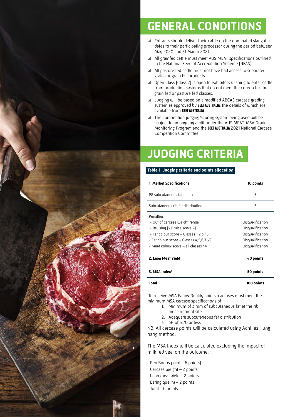

## **GENERAL CONDITIONS**

- $\blacktriangle$  Entrants should deliver their cattle on the nominated slaughter dates to their participating processor during the period between May 2020 and 31 March 2021.
- \ All grainfed cattle must meet AUS·MEAT specifications outlined in the National Feedlot Accreditation Scheme (NFAS).
- All pasture fed cattle must not have had access to separated grains or grain by-products.
- ▲ Open Class (Class 7) is open to exhibitors wishing to enter cattle from production systems that do not meet the criteria for the grain fed or pasture fed classes.
- \ Judging will be based on a modified ABCAS carcase grading system as approved by BEEF AUSTRALIA, the details of which are available from BEEF AUSTRALIA.
- $\blacktriangle$  The competition judging/scoring system being used will be subject to an ongoing audit under the AUS·MEAT-MSA Grader Monitoring Program and the BEEF AUSTRALIA 2021 National Carcase Competition Committee.

## **JUDGING CRITERIA**

#### **Table 1: Judging criteria and points allocation**

| 1. Market Specifications                 | 10 points        |  |
|------------------------------------------|------------------|--|
| P8 subcutaneous fat depth                | 5                |  |
| Subcutaneous rib fat distribution        | 5                |  |
| Penalties                                |                  |  |
| - Out of carcase weight range            | Disqualification |  |
| - Bruising (> Bruise score 4)            | Disqualification |  |
| - Fat colour score - Classes 1,2,3 >5    | Disqualification |  |
| - Fat colour score - Classes $4,5,6,7>3$ | Disqualification |  |
| - Meat colour score - all classes >4     | Disqualification |  |
| 2. Lean Meat Yield                       | 40 points        |  |
| 3. MSA Index <sup>1</sup>                | 50 points        |  |
|                                          |                  |  |

#### **Total 100 points**

1 To receive MSA Eating Quality points, carcases must meet the minimum MSA carcase specifications of:

- 1. Minimum of 3 mm of subcutaneous fat at the rib measurement site
- 2. Adequate subcutaneous fat distribution
- 3. pH of 5.70 or less

NB: All carcase points will be calculated using Achilles Hung hang method.

The MSA Index will be calculated excluding the impact of milk fed veal on the outcome.

Pen Bonus points (6 points) Carcase weight – 2 points Lean meat yield – 2 points Eating quality – 2 points Total - 6 points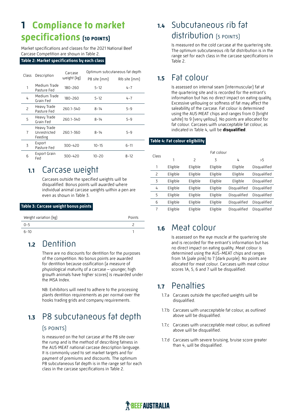## **1 Compliance to market specifications (10 points)**

Market specifications and classes for the 2021 National Beef Carcase Competition are shown in Table 2.

#### **Table 2: Market specifications by each class**

| Class          | Description                            | Carcase<br>weight [kg] | Optimum subcutaneous fat depth |               |  |
|----------------|----------------------------------------|------------------------|--------------------------------|---------------|--|
|                |                                        |                        | P8 site (mm)                   | Rib site [mm] |  |
| 1              | Medium Trade<br>Pasture Fed            | 180-260                | $5 - 12$                       | $4 - 7$       |  |
| 4              | Medium Trade<br>Grain Fed              | 180-260                | $5 - 12$                       | $4 - 7$       |  |
| $\overline{c}$ | Heavy Trade<br>Pasture Fed             | 260.1-340              | $8 - 14$                       | $5 - 9$       |  |
| 5              | Heavy Trade<br>Grain Fed               | 260.1-340              | $8 - 14$                       | $5 - 9$       |  |
| $\overline{7}$ | Heavy Trade<br>Unrestricted<br>Feeding | 260.1-360              | $8 - 14$                       | $5 - 9$       |  |
| 3              | Export<br>Pasture Fed                  | 300-420                | $10 - 15$                      | $6 - 11$      |  |
| 6              | Export Grain<br>Fed                    | 300-420                | $10 - 20$                      | $8 - 12$      |  |

## **1.1** Carcase weight

Carcases outside the specified weights will be disqualified. Bonus points will awarded where individual animal carcase weights within a pen are even as shown in Table 3.

#### **Table 3: Carcase weight bonus points**

| Weight variation [kg] | Points |
|-----------------------|--------|
| $0 - 5$               |        |
| $6 - 10$              |        |

## **1.2** Dentition

There are no discounts for dentition for the purposes of the competition. No bonus points are awarded for dentition because ossification (a measure of physiological maturity of a carcase – younger, high growth animals have higher scores) is rewarded under the MSA Index.

NB: Exhibitors will need to adhere to the processing plants dentition requirements as per normal over the hooks trading grids and company requirements.

## **1.3** P8 subcutaneous fat depth

#### (5 points)

Is measured on the hot carcase at the P8 site over the rump and is the method of describing fatness in the AUS·MEAT national carcase description language. It is commonly used to set market targets and for payment of premiums and discounts. The optimum P8 subcutaneous fat depth is in the range set for each class in the carcase specifications in Table 2.

## **1.4** Subcutaneous rib fat distribution (5 points)

Is measured on the cold carcase at the quartering site. The optimum subcutaneous rib fat distribution is in the range set for each class in the carcase specifications in Table 2.

## **1.5** Fat colour

Is assessed on internal seam (intermuscular) fat at the quartering site and is recorded for the entrant's information but has no direct impact on eating quality. Excessive yellowing or softness of fat may affect the saleability of the carcase. Fat colour is determined using the AUS·MEAT chips and ranges from 0 (bright white) to 9 (very yellow). No points are allocated for fat colour. Carcases with unacceptable fat colour, as indicated in Table 4, will be **disqualified**.

#### **Table 4: Fat colour eligibility**

| Class | Fat colour |          |          |              |              |
|-------|------------|----------|----------|--------------|--------------|
|       |            | 2        | 3        | 4            | >5           |
| 1     | Eligible   | Eligible | Eligible | Eligible     | Disqualified |
| 2     | Eligible   | Eligible | Eligible | Eligible     | Disqualified |
| 3     | Eligible   | Eligible | Eligible | Eligible     | Disqualified |
| 4     | Eligible   | Eligible | Eligible | Disqualified | Disqualified |
| 5     | Eligible   | Eligible | Eligible | Disqualified | Disqualified |
| 6     | Eligible   | Eligible | Eligible | Disqualified | Disqualified |
| 7     | Eligible   | Eligible | Eligible | Disqualified | Disqualified |

## **1.6** Meat colour

Is assessed on the eye muscle at the quartering site and is recorded for the entrant's information but has no direct impact on eating quality. Meat colour is determined using the AUS-MEAT chips and ranges from 1A (pale pink) to 7 (dark purple). No points are allocated for meat colour. Carcases with meat colour scores 1A, 5, 6 and 7 will be disqualified.

## **1.7** Penalties

- 1.7.a Carcases outside the specified weights will be disqualified.
- 1.7.b Carcases with unacceptable fat colour, as outlined above will be disqualified.
- 1.7.c Carcases with unacceptable meat colour, as outlined above will be disqualified.
- 1.7.d Carcases with severe bruising, bruise score greater than 4, will be disqualified.

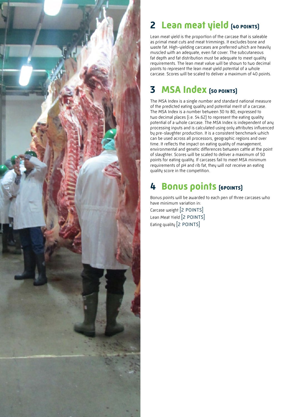

## **2 Lean meat yield (40 points)**

Lean meat yield is the proportion of the carcase that is saleable as primal meat cuts and meat trimmings. It excludes bone and waste fat. High-yielding carcases are preferred which are heavily muscled with an adequate, even fat cover. The subcutaneous fat depth and fat distribution must be adequate to meet quality requirements. The lean meat value will be shown to two decimal points to represent the lean meat yield potential of a whole carcase. Scores will be scaled to deliver a maximum of 40 points.

## **3 MSA Index (50 points)**

The MSA Index is a single number and standard national measure of the predicted eating quality and potential merit of a carcase. The MSA Index is a number between 30 to 80, expressed to two decimal places (i.e. 54.62) to represent the eating quality potential of a whole carcase. The MSA Index is independent of any processing inputs and is calculated using only attributes influenced by pre-slaughter production. It is a consistent benchmark which can be used across all processors, geographic regions and over time. It reflects the impact on eating quality of management, environmental and genetic differences between cattle at the point of slaughter. Scores will be scaled to deliver a maximum of 50 points for eating quality. If carcases fail to meet MSA minimum requirements of pH and rib fat, they will not receive an eating quality score in the competition.

## **4 Bonus points (6points)**

Bonus points will be awarded to each pen of three carcases who have minimum variation in: Carcase weight [2 POINTS] Lean Meat Yield [2 POINTS] Eating quality [2 POINTS]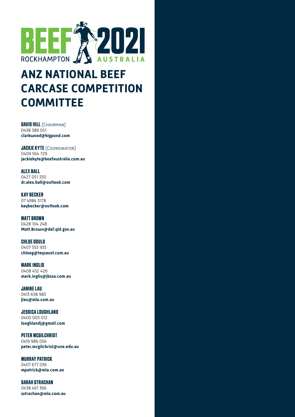

## **ANZ NATIONAL BEEF CARCASE COMPETITION COMMITTEE**

**DAVID HILL** (CHAIRMAN) 0438 389 051 **[clarkwood@bigpond.com](mailto:clarkwood@bigpond.com)**

**JACKIE KYTE** (COORDINATOR) 0409 564 729 **[jackiekyte@beefaustralia.com.au](mailto:jackiekyte@beefaustralia.com.au)**

ALEX BALL 0427 051 330 **[dr.alex.ball@outlook.com](mailto:dr.alex.ball@outlook.com)**

KAY BECKER 07 4984 3178 **kaybecker@outlook.com**

MATT BROWN 0428 104 248 **Matt.Brown@daf.qld.gov.au**

CHLOE GOULD 0407 555 935 **[chloeg@teysaust.com.au](mailto:chloeg%40teysaust.com.au%20?subject=Beef%202021%20-%20Carcase%20Competition)** 

MARK INGLIS 0408 432 426 **[mark.inglis@jbssa.com.au](mailto:mark.inglis@jbssa.com.au)**

JANINE LAU 0413 638 983 **[jlau@mla.com.au](mailto:jlau@mla.com.au)**

JESSICA LOUGHLAND 0400 003 012 **loughlandj@gmail.com**

PETER MCGILCHRIST 0419 986 056 **[peter.mcgilchrist@une.edu.au](mailto:peter.mcgilchrist@une.edu.au)**

MURRAY PATRICK 0407 677 036 **mpatrick@mla.com.au**

SARAH STRACHAN 0438 461 366 **[sstrachan@mla.com.au](mailto:sstrachan@mla.com.au)**